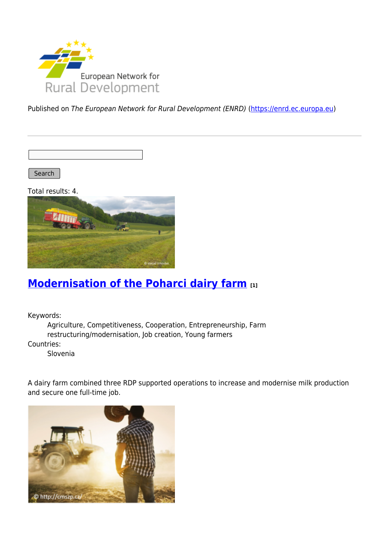

Published on The European Network for Rural Development (ENRD) [\(https://enrd.ec.europa.eu](https://enrd.ec.europa.eu))

Search |

Total results: 4.



#### **[Modernisation of the Poharci dairy farm](https://enrd.ec.europa.eu/projects-practice/modernisation-poharci-dairy-farm_en) [1]**

Keywords:

Agriculture, Competitiveness, Cooperation, Entrepreneurship, Farm restructuring/modernisation, Job creation, Young farmers Countries:

Slovenia

A dairy farm combined three RDP supported operations to increase and modernise milk production and secure one full-time job.

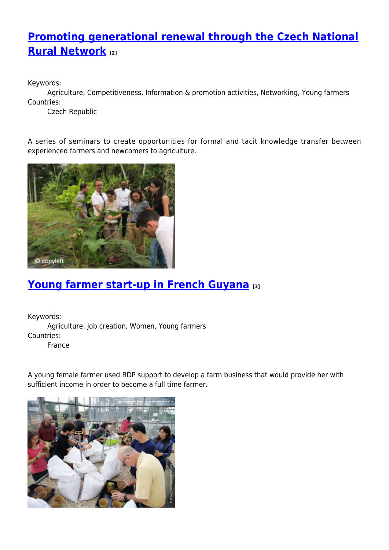# **[Promoting generational renewal through the Czech National](https://enrd.ec.europa.eu/projects-practice/promoting-generational-renewal-through-czech-national-rural-network_en) [Rural Network](https://enrd.ec.europa.eu/projects-practice/promoting-generational-renewal-through-czech-national-rural-network_en) [2]**

Keywords:

Agriculture, Competitiveness, Information & promotion activities, Networking, Young farmers Countries:

Czech Republic

A series of seminars to create opportunities for formal and tacit knowledge transfer between experienced farmers and newcomers to agriculture.



## **[Young farmer start-up in French Guyana](https://enrd.ec.europa.eu/projects-practice/young-farmer-start-french-guyana_en) [3]**

Keywords: Agriculture, Job creation, Women, Young farmers Countries: France

A young female farmer used RDP support to develop a farm business that would provide her with sufficient income in order to become a full time farmer.